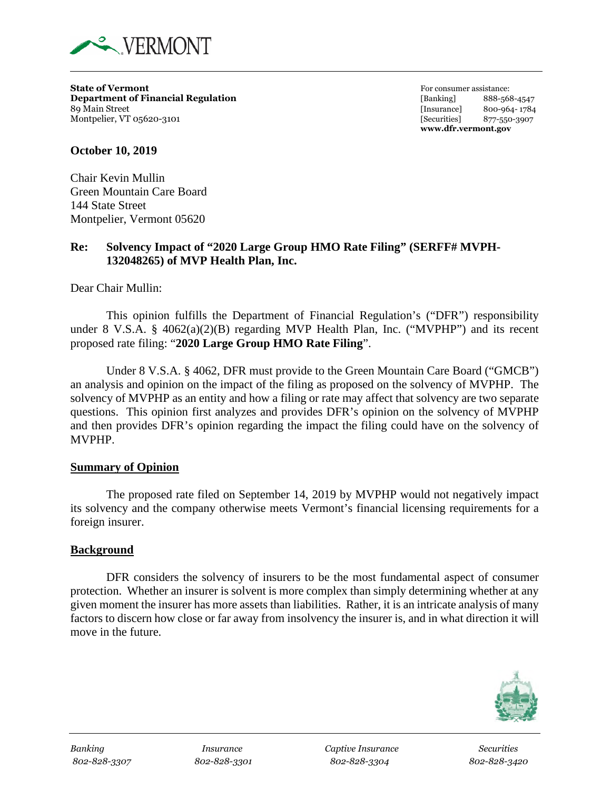

**State of Vermont For consumer assistance: Department of Financial Regulation** [Banking] 888-568-4547 89 Main Street [Insurance] 800-964- 1784 Montpelier, VT 05620-3101 *Montpelier, VT 05620-3907 S77-550-3907* 

**www.dfr.vermont.gov**

**October 10, 2019**

Chair Kevin Mullin Green Mountain Care Board 144 State Street Montpelier, Vermont 05620

## **Re: Solvency Impact of "2020 Large Group HMO Rate Filing" (SERFF# MVPH-132048265) of MVP Health Plan, Inc.**

Dear Chair Mullin:

This opinion fulfills the Department of Financial Regulation's ("DFR") responsibility under 8 V.S.A. § 4062(a)(2)(B) regarding MVP Health Plan, Inc. ("MVPHP") and its recent proposed rate filing: "**2020 Large Group HMO Rate Filing**".

Under 8 V.S.A. § 4062, DFR must provide to the Green Mountain Care Board ("GMCB") an analysis and opinion on the impact of the filing as proposed on the solvency of MVPHP. The solvency of MVPHP as an entity and how a filing or rate may affect that solvency are two separate questions. This opinion first analyzes and provides DFR's opinion on the solvency of MVPHP and then provides DFR's opinion regarding the impact the filing could have on the solvency of MVPHP.

### **Summary of Opinion**

The proposed rate filed on September 14, 2019 by MVPHP would not negatively impact its solvency and the company otherwise meets Vermont's financial licensing requirements for a foreign insurer.

### **Background**

DFR considers the solvency of insurers to be the most fundamental aspect of consumer protection. Whether an insurer is solvent is more complex than simply determining whether at any given moment the insurer has more assets than liabilities. Rather, it is an intricate analysis of many factors to discern how close or far away from insolvency the insurer is, and in what direction it will move in the future.



*Banking Insurance Captive Insurance Securities 802-828-3307 802-828-3301 802-828-3304 802-828-3420*